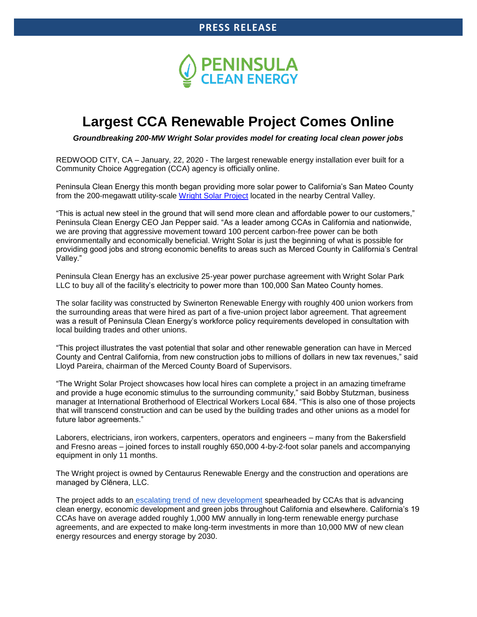

# **Largest CCA Renewable Project Comes Online**

*Groundbreaking 200-MW Wright Solar provides model for creating local clean power jobs*

REDWOOD CITY, CA – January, 22, 2020 - The largest renewable energy installation ever built for a Community Choice Aggregation (CCA) agency is officially online.

Peninsula Clean Energy this month began providing more solar power to California's San Mateo County from the 200-megawatt utility-scale [Wright Solar Project](http://icm-tracking.meltwater.com/link.php?DynEngagement=true&H=3ZUQjNycMu7D%2Fe%2Bm%2FOmi3Qi1eTNrfRb0HcFplK3KYerw%2B6SfjwwI9uLuEicYk937KRvXNrI4URR3SSjGGgA2PR3B%2BjH1Bv98atTtuQr2pMnEdJ8vnobMmt%2BGNnuIH%2FmpNavTSOpOswg%3D&G=0&R=https%3A%2F%2Fwww.peninsulacleanenergy.com%2Fwright%2F&I=20200122120053.00000c5edc03%40mail6-53-ussnn1&X=MHwxMDQ2NzU4OjVlMjc4YTg1NmRmYzM5YWUwYzQ5ODUxODs%3D&S=0YSjmZ3zGNvPLZlRTbnyNQWBuP-LUuPZyiFvk9TWAwM) located in the nearby Central Valley.

"This is actual new steel in the ground that will send more clean and affordable power to our customers," Peninsula Clean Energy CEO Jan Pepper said. "As a leader among CCAs in California and nationwide, we are proving that aggressive movement toward 100 percent carbon-free power can be both environmentally and economically beneficial. Wright Solar is just the beginning of what is possible for providing good jobs and strong economic benefits to areas such as Merced County in California's Central Valley."

Peninsula Clean Energy has an exclusive 25-year power purchase agreement with Wright Solar Park LLC to buy all of the facility's electricity to power more than 100,000 San Mateo County homes.

The solar facility was constructed by Swinerton Renewable Energy with roughly 400 union workers from the surrounding areas that were hired as part of a five-union project labor agreement. That agreement was a result of Peninsula Clean Energy's workforce policy requirements developed in consultation with local building trades and other unions.

"This project illustrates the vast potential that solar and other renewable generation can have in Merced County and Central California, from new construction jobs to millions of dollars in new tax revenues," said Lloyd Pareira, chairman of the Merced County Board of Supervisors.

"The Wright Solar Project showcases how local hires can complete a project in an amazing timeframe and provide a huge economic stimulus to the surrounding community," said Bobby Stutzman, business manager at International Brotherhood of Electrical Workers Local 684. "This is also one of those projects that will transcend construction and can be used by the building trades and other unions as a model for future labor agreements."

Laborers, electricians, iron workers, carpenters, operators and engineers – many from the Bakersfield and Fresno areas – joined forces to install roughly 650,000 4-by-2-foot solar panels and accompanying equipment in only 11 months.

The Wright project is owned by Centaurus Renewable Energy and the construction and operations are managed by Clēnera, LLC.

The project adds to an [escalating trend of new development](http://icm-tracking.meltwater.com/link.php?DynEngagement=true&H=3ZUQjNycMu7D%2Fe%2Bm%2FOmi3Qi1eTNrfRb0HcFplK3KYerw%2B6SfjwwI9uLuEicYk937KRvXNrI4URR3SSjGGgA2PR3B%2BjH1Bv98atTtuQr2pMnEdJ8vnobMmt%2BGNnuIH%2FmpNavTSOpOswg%3D&G=0&R=https%3A%2F%2Fcal-cca.org%2Fcalifornia-ccas-hit-3000-megawatt-mark-for-long-term-clean-energy-contracts%2F&I=20200122120053.00000c5edc03%40mail6-53-ussnn1&X=MHwxMDQ2NzU4OjVlMjc4YTg1NmRmYzM5YWUwYzQ5ODUxODs%3D&S=KBl_WUUgT5fkUyNc8gH893FR2HU89x7EUYZ82XgJMfs) spearheaded by CCAs that is advancing clean energy, economic development and green jobs throughout California and elsewhere. California's 19 CCAs have on average added roughly 1,000 MW annually in long-term renewable energy purchase agreements, and are expected to make long-term investments in more than 10,000 MW of new clean energy resources and energy storage by 2030.